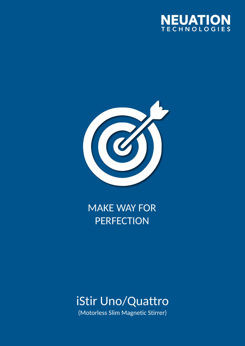



## **MAKE WAY FOR PERFECTION**

# iStir Uno/Quattro

(Motorless Slim Magnetic Stirrer)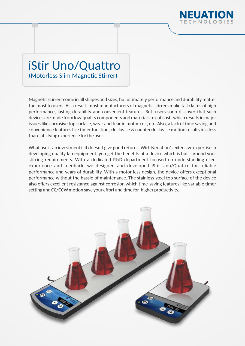

# iStir Uno/Quattro

(Motorless Slim Magnetic Stirrer)

Magnetic stirrers come in all shapes and sizes, but ultimately performance and durability matter the most to users. As a result, most manufacturers of magnetic stirrers make tall claims of high performance, lasting durability and convenient features. But, users soon discover that such devices are made from low-quality components and materials to cut costs which results in major issues like corrosive top surface, wear and tear in motor coil, etc. Also, a lack of time saving and convenience features like timer function, clockwise & counterclockwise motion results in a less than satisfying experience for the user.

What use is an investment if it doesn't give good returns. With Neuation's extensive expertise in developing quality lab equipment, you get the benefits of a device which is built around your stirring requirements. With a dedicated R&D department focused on understanding userexperience and feedback, we designed and developed iStir Uno/Quattro for reliable performance and years of durability. With a motor-less design, the device offers exceptional performance without the hassle of maintenance. The stainless steel top surface of the device also offers excellent resistance against corrosion which time-saving features like variable timer setting and CC/CCW motion save your effort and time for higher productivity.

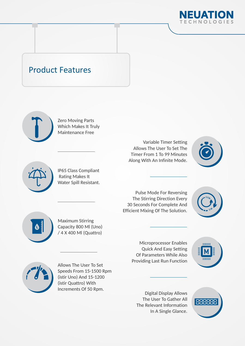

#### Product Features









Variable Timer Setting Allows The User To Set The Timer From 1 To 99 Minutes Along With An Infinite Mode.



Pulse Mode For Reversing The Stirring Direction Every 30 Seconds For Complete And **Efficient Mixing Of The Solution.** 





Maximum Stirring Capacity 800 Ml (Uno) / 4 X 400 Ml (Quattro)

> Microprocessor Enables Quick And Easy Setting Of Parameters While Also Providing Last Run Function





Allows The User To Set Speeds From 15-1500 Rpm (istir Uno) And 15-1200 (istir Quattro) With Increments Of 50 Rpm.

Digital Display Allows The User To Gather All The Relevant Information In A Single Glance.

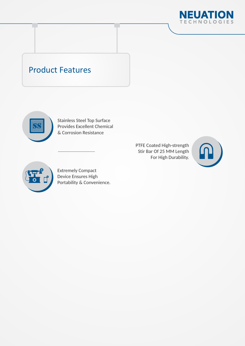

#### Product Features



Stainless Steel Top Surface Provides Excellent Chemical & Corrosion Resistance

> PTFE Coated High-strength Stir Bar Of 25 MM Length For High Durability.





Extremely Compact Device Ensures High Portability & Convenience.